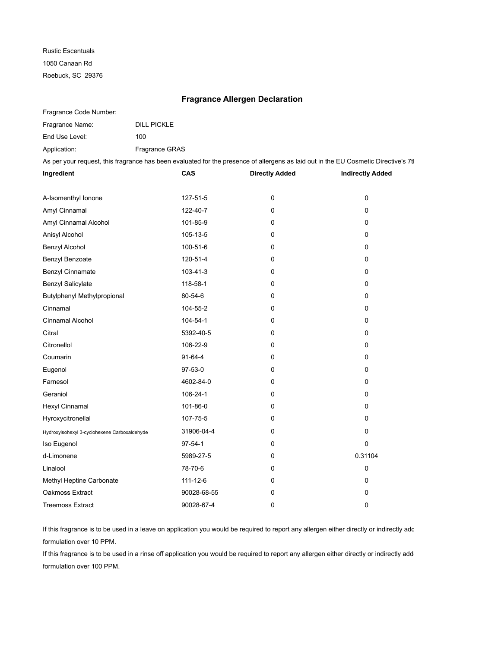Rustic Escentuals 1050 Canaan Rd Roebuck, SC 29376

## **Fragrance Allergen Declaration**

Fragrance Code Number:

| Fragrance Name: | <b>DILL PICKLE</b>    |
|-----------------|-----------------------|
| End Use Level:  | 100                   |
| Application:    | <b>Fragrance GRAS</b> |

As per your request, this fragrance has been evaluated for the presence of allergens as laid out in the EU Cosmetic Directive's 7tl

| Ingredient                                   | CAS           | <b>Directly Added</b> | <b>Indirectly Added</b> |
|----------------------------------------------|---------------|-----------------------|-------------------------|
|                                              |               |                       |                         |
| A-Isomenthyl Ionone                          | 127-51-5      | 0                     | 0                       |
| Amyl Cinnamal                                | 122-40-7      | 0                     | 0                       |
| Amyl Cinnamal Alcohol                        | 101-85-9      | 0                     | 0                       |
| Anisyl Alcohol                               | 105-13-5      | 0                     | 0                       |
| Benzyl Alcohol                               | 100-51-6      | 0                     | $\mathbf 0$             |
| Benzyl Benzoate                              | 120-51-4      | 0                     | $\mathbf 0$             |
| Benzyl Cinnamate                             | 103-41-3      | 0                     | 0                       |
| <b>Benzyl Salicylate</b>                     | 118-58-1      | 0                     | 0                       |
| Butylphenyl Methylpropional                  | 80-54-6       | 0                     | 0                       |
| Cinnamal                                     | 104-55-2      | 0                     | 0                       |
| <b>Cinnamal Alcohol</b>                      | 104-54-1      | 0                     | $\mathbf 0$             |
| Citral                                       | 5392-40-5     | 0                     | 0                       |
| Citronellol                                  | 106-22-9      | 0                     | 0                       |
| Coumarin                                     | 91-64-4       | 0                     | 0                       |
| Eugenol                                      | 97-53-0       | 0                     | 0                       |
| Farnesol                                     | 4602-84-0     | 0                     | 0                       |
| Geraniol                                     | 106-24-1      | 0                     | $\mathbf 0$             |
| Hexyl Cinnamal                               | 101-86-0      | 0                     | 0                       |
| Hyroxycitronellal                            | 107-75-5      | 0                     | 0                       |
| Hydroxyisohexyl 3-cyclohexene Carboxaldehyde | 31906-04-4    | 0                     | $\mathbf 0$             |
| Iso Eugenol                                  | $97 - 54 - 1$ | 0                     | $\Omega$                |
| d-Limonene                                   | 5989-27-5     | 0                     | 0.31104                 |
| Linalool                                     | 78-70-6       | 0                     | 0                       |
| Methyl Heptine Carbonate                     | 111-12-6      | 0                     | 0                       |
| Oakmoss Extract                              | 90028-68-55   | 0                     | 0                       |
| <b>Treemoss Extract</b>                      | 90028-67-4    | 0                     | 0                       |

If this fragrance is to be used in a leave on application you would be required to report any allergen either directly or indirectly add formulation over 10 PPM.

If this fragrance is to be used in a rinse off application you would be required to report any allergen either directly or indirectly add formulation over 100 PPM.